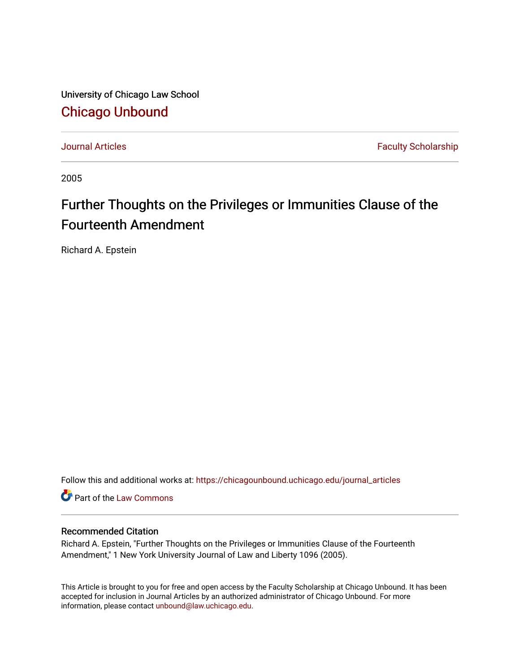University of Chicago Law School [Chicago Unbound](https://chicagounbound.uchicago.edu/)

[Journal Articles](https://chicagounbound.uchicago.edu/journal_articles) **Faculty Scholarship Faculty Scholarship** 

2005

## Further Thoughts on the Privileges or Immunities Clause of the Fourteenth Amendment

Richard A. Epstein

Follow this and additional works at: [https://chicagounbound.uchicago.edu/journal\\_articles](https://chicagounbound.uchicago.edu/journal_articles?utm_source=chicagounbound.uchicago.edu%2Fjournal_articles%2F1354&utm_medium=PDF&utm_campaign=PDFCoverPages) 

Part of the [Law Commons](http://network.bepress.com/hgg/discipline/578?utm_source=chicagounbound.uchicago.edu%2Fjournal_articles%2F1354&utm_medium=PDF&utm_campaign=PDFCoverPages)

### Recommended Citation

Richard A. Epstein, "Further Thoughts on the Privileges or Immunities Clause of the Fourteenth Amendment," 1 New York University Journal of Law and Liberty 1096 (2005).

This Article is brought to you for free and open access by the Faculty Scholarship at Chicago Unbound. It has been accepted for inclusion in Journal Articles by an authorized administrator of Chicago Unbound. For more information, please contact [unbound@law.uchicago.edu](mailto:unbound@law.uchicago.edu).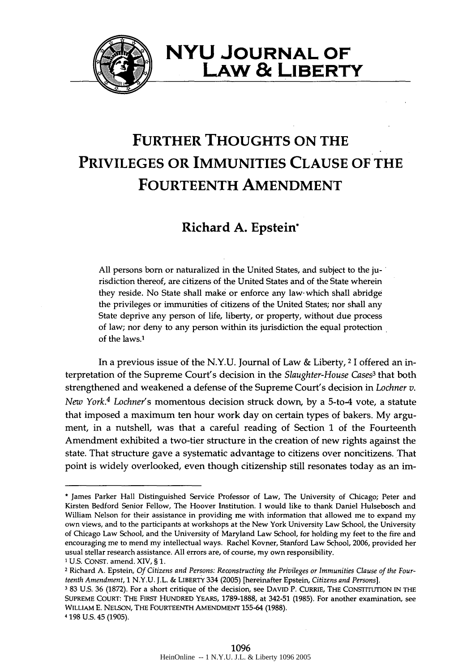

## **NYU JOURNAL OF LAw & LIBERTY**

# **FURTHER THOUGHTS ON THE PRIVILEGES OR IMMUNITIES CLAUSE OF THE FOURTEENTH AMENDMENT**

## **Richard A. Epstein\***

**All** persons born or naturalized in the United States, and subject to the jurisdiction thereof, are citizens of the United States and of the State wherein they reside. No State shall make or enforce any law- which shall abridge the privileges or immunities of citizens of the United States; nor shall any State deprive any person of life, liberty, or property, without due process of law; nor deny to any person within its jurisdiction the equal protection of the laws.'

In a previous issue of the **N.Y.U.** Journal of Law **&** Liberty, 2 **1** offered an interpretation of the Supreme Court's decision in the *Slaughter-House Cases3* that both strengthened and weakened a defense of the Supreme Court's decision in *Lochner v. New York.4 Lochner's* momentous decision struck down, **by** a 5-to4 vote, a statute that imposed a maximum ten hour work day on certain types of bakers. **My** argument, in a nutshell, was that a careful reading of Section **1** of the Fourteenth Amendment exhibited a two-tier structure in the creation of new rights against the state. That structure gave a systematic advantage to citizens over noncitizens. That point is widely overlooked, even though citizenship still resonates today as an im-

<sup>\*</sup> James Parker Hall Distinguished Service Professor of Law, The University of Chicago; Peter and Kirsten Bedford Senior Fellow, The Hoover Institution. **I** would like to thank Daniel Hulsebosch and William Nelson for their assistance in providing me with information that allowed me to expand my own views, and to the participants at workshops at the New York University Law School, the University of Chicago Law School, and the University of Maryland Law School, for holding my feet to the fire and encouraging me to mend my intellectual ways. Rachel Kovner, Stanford Law School, **2006,** provided her usual stellar research assistance. **All** errors are, of course, **my** own responsibility. **1U.S. CONST.** amend. XIV, § **1.**

<sup>2</sup> Richard **A.** Epstein, *Of Citizens and Persons: Reconstructing the Privileges or Immunities Clause of the Fourteenth Amendment,* **1 N.Y.U. J.L. &** LIBERTY 334 **(2005)** [hereinafter Epstein, *Citizens and Persons].*

**<sup>3</sup>83 U.S. 36 (1872).** For a short critique of the decision, see **DAVID** P. CURRIE, THE CONSTITUTION **IN** THE **SUPREME** COURT: THE FIRST **HUNDRED** YEARS, **1789-1888,** at 342-51 **(1985).** For another examination, see WILLIAM **E. NELSON,** THE FOURTEENTH **AMENDMENT 155-64 (1988).**

<sup>4</sup> **198 U.S.** 45 **(1905).**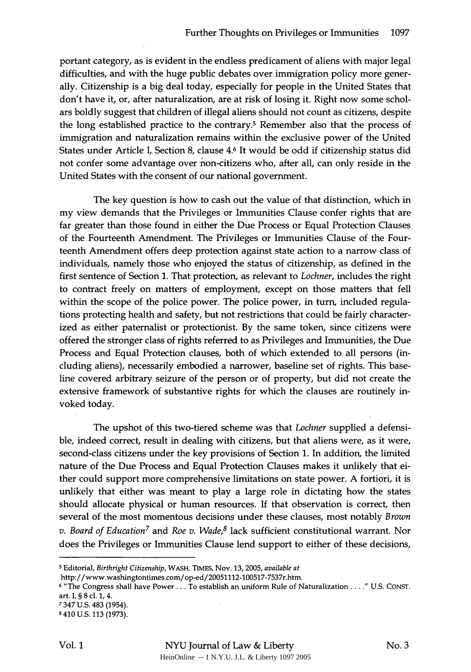portant category, as is evident in the endless predicament of aliens with major legal difficulties, and with the huge public debates over immigration policy more generally. Citizenship is a big deal today, especially for people in the United States that don't have it, or, after naturalization, are at risk of losing it. Right now some scholars boldly suggest that children of illegal aliens should not count as citizens, despite the long established practice to the contrary.5 Remember also that the process of immigration and naturalization remains within the exclusive power of the United States under Article I, Section 8, clause 4.6 It would be odd if citizenship status did not confer some advantage over non-citizens who, after all, can only reside in the United States with the consent of our national government.

The key question is how to cash out the value of that distinction, which in my view demands that the Privileges or Immunities Clause confer rights that are far greater than those found in either the Due Process or Equal Protection Clauses of the Fourteenth Amendment. The Privileges or Immunities Clause of the Fourteenth Amendment offers deep protection against state action to a narrow class of individuals, namely those who enjoyed the status of citizenship, as defined in the first sentence of Section 1. That protection, as relevant to *Lochner,* includes the right to contract freely on matters of employment, except on those matters that fell within the scope of the police power. The police power, in turn, included regulations protecting health and safety, but not restrictions that could be fairly characterized as either paternalist or protectionist. By the same token, since citizens were offered the stronger class of rights referred to as Privileges and Immunities, the Due Process and Equal Protection clauses, both of which extended to all persons (including aliens), necessarily embodied a narrower, baseline set of rights. This baseline covered arbitrary seizure of the person or of property, but did not create the extensive framework of substantive rights for which the clauses are routinely invoked today.

The upshot of this two-tiered scheme was that *Lochner* supplied a defensible, indeed correct, result in dealing with citizens, but that aliens were, as it were, second-class citizens under the key provisions of Section 1. In addition, the limited nature of the Due Process and Equal Protection Clauses makes it unlikely that either could support more comprehensive limitations on state power. A fortiori, it is unlikely that either was meant to play a large role in dictating how the states should allocate physical or human resources. If that observation is correct, then several of the most momentous decisions under these clauses, most notably *Brown v. Board of Education7* and *Roe v. Wade,8* lack sufficient constitutional warrant. Nor does the Privileges or Immunities Clause lend support to either of these decisions,

**<sup>5</sup>** Editorial, *Birthright Citizenship,* WASH. **TIMES,** Nov. **13,2005,** *available at*

http://www.washingtontimes.com/op-ed/20051112-100517-7537r.htm.

**<sup>6</sup>** "The Congress shall have Power... To establish an uniform Rule of Naturalization **.. " U.S. CONST.** art. **I,** § **8** cl. **1,** 4.

**<sup>7</sup>** 347 **U.S.** 483 (1954).

**<sup>8</sup>** 410 **U.S. 113 (1973).**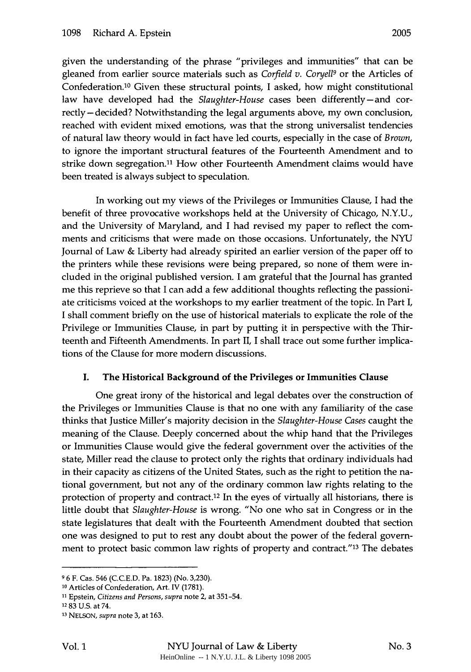given the understanding of the phrase "privileges and immunities" that can be gleaned from earlier source materials such as *Corfield v. Coryell9* or the Articles of Confederation. 10 Given these structural points, I asked, how might constitutional law have developed had the *Slaughter-House* cases been differently-and correctly- decided? Notwithstanding the legal arguments above, my own conclusion, reached with evident mixed emotions, was that the strong universalist tendencies of natural law theory would in fact have led courts, especially in the case of *Brown,* to ignore the important structural features of the Fourteenth Amendment and to strike down segregation.<sup>11</sup> How other Fourteenth Amendment claims would have been treated is always subject to speculation.

In working out my views of the Privileges or Immunities Clause, I had the benefit of three provocative workshops held at the University of Chicago, N.Y.U., and the University of Maryland, and I had revised my paper to reflect the comments and criticisms that were made on those occasions. Unfortunately, the NYU Journal of Law & Liberty had already spirited an earlier version of the paper off to the printers while these revisions were being prepared, so none of them were included in the original published version. I am grateful that the Journal has granted me this reprieve so that I can add a few additional thoughts reflecting the passioniate criticisms voiced at the workshops to my earlier treatment of the topic. In Part I, I shall comment briefly on the use of historical materials to explicate the role of the Privilege or Immunities Clause, in part by putting it in perspective with the Thirteenth and Fifteenth Amendments. In part II, I shall trace out some further implications of the Clause for more modern discussions.

## I. The Historical Background of the Privileges **or** Immunities Clause

One great irony of the historical and legal debates over the construction of the Privileges or Immunities Clause is that no one with any familiarity of the case thinks that Justice Miller's majority decision in the *Slaughter-House Cases* caught the meaning of the Clause. Deeply concerned about the whip hand that the Privileges or Immunities Clause would give the federal government over the activities of the state, Miller read the clause to protect only the rights that ordinary individuals had in their capacity as citizens of the United States, such as the right to petition the national government, but not any of the ordinary common law rights relating to the protection of property and contract.<sup>12</sup> In the eyes of virtually all historians, there is little doubt that *Slaughter-House* is wrong. "No one who sat in Congress or in the state legislatures that dealt with the Fourteenth Amendment doubted that section one was designed to put to rest any doubt about the power of the federal government to protect basic common law rights of property and contract."<sup>13</sup> The debates

**<sup>9</sup>** 6 F. Cas. 546 (C.C.E.D. Pa. 1823) (No. 3,230).

**<sup>10</sup>** Articles of Confederation, Art. IV (1781).

**<sup>11</sup>** Epstein, *Citizens and Persons, supra* note 2, at 351-54.

**<sup>12</sup>**83 U.S. at 74.

**<sup>13</sup>** NELSON, *supra* note 3, at 163.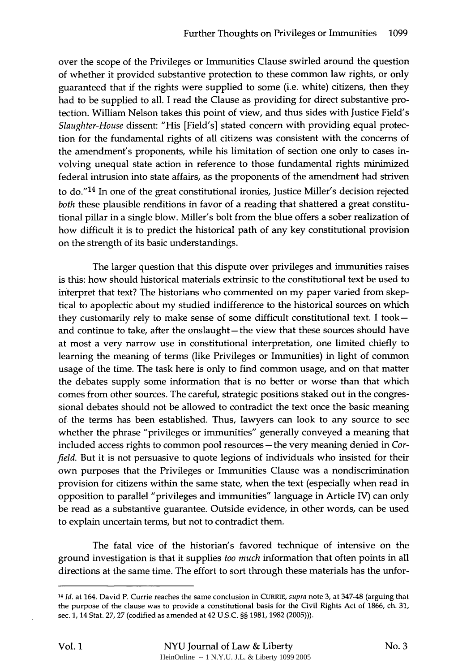over the scope of the Privileges or Immunities Clause swirled around the question of whether it provided substantive protection to these common law rights, or only guaranteed that if the rights were supplied to some (i.e. white) citizens, then they had to be supplied to all. I read the Clause as providing for direct substantive protection. William Nelson takes this point of view, and thus sides with Justice Field's *Slaughter-House* dissent: "His [Field's] stated concern with providing equal protection for the fundamental rights of all citizens was consistent with the concerns of the amendment's proponents, while his limitation of section one only to cases involving unequal state action in reference to those fundamental rights minimized federal intrusion into state affairs, as the proponents of the amendment had striven to do."<sup>14</sup> In one of the great constitutional ironies, Justice Miller's decision rejected *both* these plausible renditions in favor of a reading that shattered a great constitutional pillar in a single blow. Miller's bolt from the blue offers a sober realization of how difficult it is to predict the historical path of any key constitutional provision on the strength of its basic understandings.

The larger question that this dispute over privileges and immunities raises is this: how should historical materials extrinsic to the constitutional text be used to interpret that text? The historians who commented on my paper varied from skeptical to apoplectic about my studied indifference to the historical sources on which they customarily rely to make sense of some difficult constitutional text. I tookand continue to take, after the onslaught-the view that these sources should have at most a very narrow use in constitutional interpretation, one limited chiefly to learning the meaning of terms (like Privileges or Immunities) in light of common usage of the time. The task here is only to find common usage, and on that matter the debates supply some information that is no better or worse than that which comes from other sources. The careful, strategic positions staked out in the congressional debates should not be allowed to contradict the text once the basic meaning of the terms has been established. Thus, lawyers can look to any source to see whether the phrase "privileges or immunities" generally conveyed a meaning that included access rights to common pool resources - the very meaning denied in *Corfield.* But it is not persuasive to quote legions of individuals who insisted for their own purposes that the Privileges or Immunities Clause was a nondiscrimination provision for citizens within the same state, when the text (especially when read in opposition to parallel "privileges and immunities" language in Article IV) can only be read as a substantive guarantee. Outside evidence, in other words, can be used to explain uncertain terms, but not to contradict them.

The fatal vice of the historian's favored technique of intensive on the ground investigation is that it supplies *too much* information that often points in all directions at the same time. The effort to sort through these materials has the unfor-

*<sup>14</sup> Id.* at 164. David P. Currie reaches the same conclusion in CURRIE, *supra* note 3, at 347-48 (arguing that the purpose of the clause was to provide a constitutional basis for the Civil Rights Act of 1866, ch. 31, sec. 1, 14 Stat. 27, 27 (codified as amended at 42 U.S.C. §§ 1981, 1982 (2005))).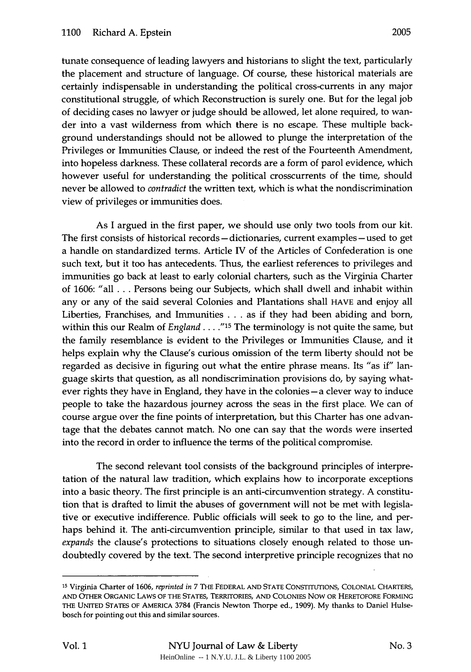tunate consequence of leading lawyers and historians to slight the text, particularly the placement and structure of language. Of course, these historical materials are certainly indispensable in understanding the political cross-currents in any major constitutional struggle, of which Reconstruction is surely one. But for the legal job of deciding cases no lawyer or judge should be allowed, let alone required, to wander into a vast wilderness from which there is no escape. These multiple background understandings should not be allowed to plunge the interpretation of the Privileges or Immunities Clause, or indeed the rest of the Fourteenth Amendment, into hopeless darkness. These collateral records are a form of parol evidence, which however useful for understanding the political crosscurrents of the time, should never be allowed to *contradict* the written text, which is what the nondiscrimination view of privileges or immunities does.

As I argued in the first paper, we should use only two tools from our kit. The first consists of historical records **-** dictionaries, current examples **-** used to get a handle on standardized terms. Article IV of the Articles of Confederation is one such text, but it too has antecedents. Thus, the earliest references to privileges and immunities go back at least to early colonial charters, such as the Virginia Charter of 1606: "all .. .Persons being our Subjects, which shall dwell and inhabit within any or any of the said several Colonies and Plantations shall **HAVE** and enjoy all Liberties, Franchises, and Immunities **...** as if they had been abiding and born, within this our Realm of *England .... "<sup>1</sup> <sup>5</sup>*The terminology is not quite the same, but the family resemblance is evident to the Privileges or Immunities Clause, and it helps explain why the Clause's curious omission of the term liberty should not be regarded as decisive in figuring out what the entire phrase means. Its "as if" language skirts that question, as all nondiscrimination provisions do, by saying whatever rights they have in England, they have in the colonies **-a** clever way to induce people to take the hazardous journey across the seas in the first place. We can of course argue over the fine points of interpretation, but this Charter has one advantage that the debates cannot match. No one can say that the words were inserted into the record in order to influence the terms of the political compromise.

The second relevant tool consists of the background principles of interpretation of the natural law tradition, which explains how to incorporate exceptions into a basic theory. The first principle is an anti-circumvention strategy. A constitution that is drafted to limit the abuses of government will not be met with legislative or executive indifference. Public officials will seek to go to the line, and perhaps behind it. The anti-circumvention principle, similar to that used in tax law, *expands* the clause's protections to situations closely enough related to those undoubtedly covered by the text. The second interpretive principle recognizes that no

**<sup>15</sup>** Virginia Charter of **1606,** *reprinted in* 7 THE FEDERAL **AND STATE CONSTITUTIONS, COLONIAL** CHARTERS, **AND** OTHER ORGANIC LAWS OF THE **STATES,** TERRITORIES, **AND** COLONIES Now OR HERETOFORE FORMING THE **UNITED STATES** OF AMERICA 3784 (Francis Newton Thorpe ed., **1909). My** thanks to Daniel Hulsebosch for pointing out this and similar sources.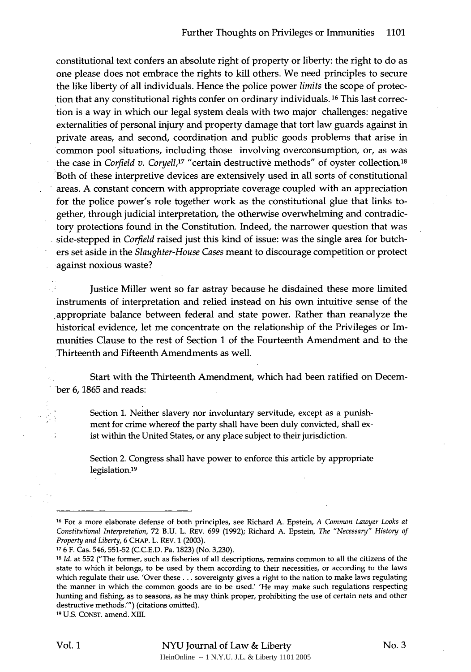constitutional text confers an absolute right of property or liberty: the right to do as one please does not embrace the rights to kill others. We need principles to secure the like liberty of all individuals. Hence the police power *limits* the scope of protection that any constitutional rights confer on ordinary individuals. **16** This last correction is a way in which our legal system deals with two major challenges: negative externalities of personal injury and property damage that tort law guards against in private areas, and second, coordination and public goods problems that arise in common pool situations, including those involving overconsumption, or, as was the case in *Corfield v. Coryell,17* "certain destructive methods" of oyster collection.<sup>18</sup> Both of these interpretive devices are extensively used in all sorts of constitutional areas. A constant concern with appropriate coverage coupled with an appreciation for the police power's role together work as the constitutional glue that links together, through judicial interpretation, the otherwise overwhelming and contradictory protections found in the Constitution. Indeed, the narrower question that was side-stepped in *Corfield* raised just this kind of issue: was the single area for butchers set aside in the *Slaughter-House Cases* meant to discourage competition or protect against noxious waste?

Justice Miller went so far astray because he disdained these more limited instruments of interpretation and relied instead on his own intuitive sense of the ,appropriate balance between federal and state power. Rather than reanalyze the historical evidence, let me concentrate on the relationship of the Privileges or Immunities Clause to the rest of Section 1 of the Fourteenth Amendment and to the Thirteenth and Fifteenth Amendments as well.

Start with the Thirteenth Amendment, which had been ratified on December 6, 1865 and reads:

Section 1. Neither slavery nor involuntary servitude, except as a punishment for crime whereof the party shall have been duly convicted, shall exist within the United States, or any place subject to their jurisdiction.

Section 2. Congress shall have power to enforce this article by appropriate legislation.19

**<sup>16</sup>**For a more elaborate defense of both principles, see Richard **A.** Epstein, *A Common Lawyer Looks at Constitutional Interpretation,* **72 B.U.** L. REv. **699 (1992);** Richard **A.** Epstein, *The "Necessary" History of Property and Liberty,* **6 CHAP.** L. REV. **1 (2003).**

**<sup>17 6</sup>** F. Cas. **546,551-52 (C.C.E.D.** Pa. **1823)** (No. **3,230).**

*<sup>18</sup> Id.* at **552** ("The former, such as fisheries of all descriptions, remains common to all the citizens of the state to which it belongs, to be used **by** them according to their necessities, or according to the laws which regulate their use. 'Over these... sovereignty gives a right to the nation to make laws regulating the manner in which the common goods are to be used.' 'He may make such regulations respecting hunting and fishing, as to seasons, as he may think proper, prohibiting the use of certain nets and other destructive methods.'") (citations omitted).

**<sup>19</sup> U.S. CONST.** amend. **XIII.**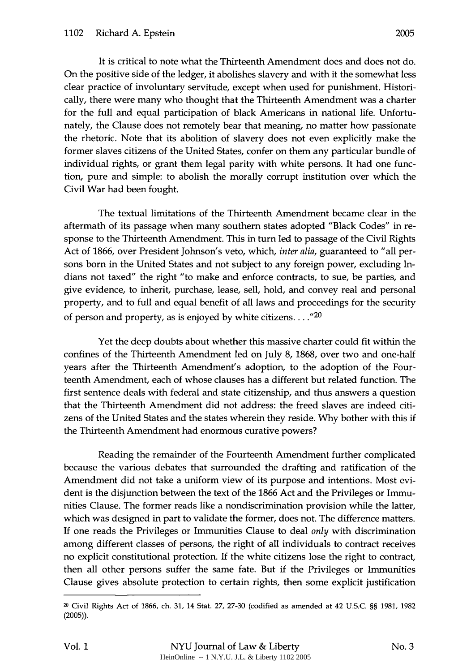It is critical to note what the Thirteenth Amendment does and does not do. On the positive side of the ledger, it abolishes slavery and with it the somewhat less clear practice of involuntary servitude, except when used for punishment. Historically, there were many who thought that the Thirteenth Amendment was a charter for the full and equal participation of black Americans in national life. Unfortunately, the Clause does not remotely bear that meaning, no matter how passionate the rhetoric. Note that its abolition of slavery does not even explicitly make the former slaves citizens of the United States, confer on them any particular bundle of individual rights, or grant them legal parity with white persons. It had one function, pure and simple: to abolish the morally corrupt institution over which the Civil War had been fought.

The textual limitations of the Thirteenth Amendment became clear in the aftermath of its passage when many southern states adopted "Black Codes" in response to the Thirteenth Amendment. This in turn led to passage of the Civil Rights Act of 1866, over President Johnson's veto, which, *inter alia,* guaranteed to "all persons born in the United States and not subject to any foreign power, excluding Indians not taxed" the right "to make and enforce contracts, to sue, be parties, and give evidence, to inherit, purchase, lease, sell, hold, and convey real and personal property, and to full and equal benefit of all laws and proceedings for the security of person and property, as is enjoyed by white citizens...."<sup>20</sup>

Yet the deep doubts about whether this massive charter could fit within the confines of the Thirteenth Amendment led on July 8, 1868, over two and one-half years after the Thirteenth Amendment's adoption, to the adoption of the Fourteenth Amendment, each of whose clauses has a different but related function. The first sentence deals with federal and state citizenship, and thus answers a question that the Thirteenth Amendment did not address: the freed slaves are indeed citizens of the United States and the states wherein they reside. Why bother with this if the Thirteenth Amendment had enormous curative powers?

Reading the remainder of the Fourteenth Amendment further complicated because the various debates that surrounded the drafting and ratification of the Amendment did not take a uniform view of its purpose and intentions. Most evident is the disjunction between the text of the 1866 Act and the Privileges or Immunities Clause. The former reads like a nondiscrimination provision while the latter, which was designed in part to validate the former, does not. The difference matters. If one reads the Privileges or Immunities Clause to deal *only* with discrimination among different classes of persons, the right of all individuals to contract receives no explicit constitutional protection. If the white citizens lose the right to contract, then all other persons suffer the same fate. But if the Privileges or Immunities Clause gives absolute protection to certain rights, then some explicit justification

**<sup>20</sup>**Civil Rights Act of 1866, ch. 31, 14 Stat. 27, 27-30 (codified as amended at 42 U.S.C. §§ 1981, 1982 (2005)).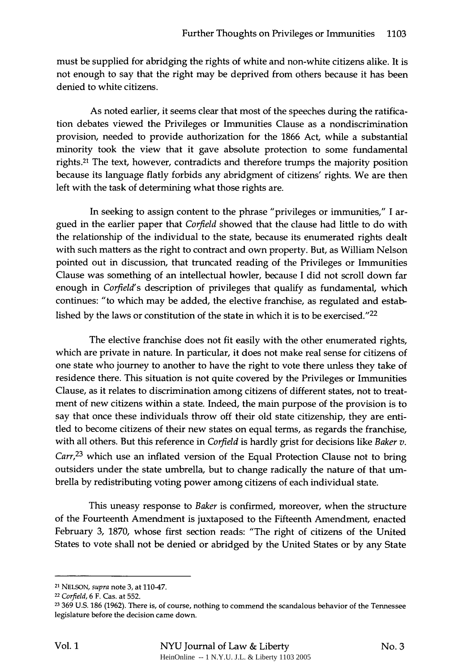must be supplied for abridging the rights of white and non-white citizens alike. It is not enough to say that the right may be deprived from others because it has been denied to white citizens.

As noted earlier, it seems clear that most of the speeches during the ratification debates viewed the Privileges or Immunities Clause as a nondiscrimination provision, needed to provide authorization for the 1866 Act, while a substantial minority took the view that it gave absolute protection to some fundamental rights. 21 The text, however, contradicts and therefore trumps the majority position because its language flatly forbids any abridgment of citizens' rights. We are then left with the task of determining what those rights are.

In seeking to assign content to the phrase "privileges or immunities," I argued in the earlier paper that *Corfield* showed that the clause had little to do with the relationship of the individual to the state, because its enumerated rights dealt with such matters as the right to contract and own property. But, as William Nelson pointed out in discussion, that truncated reading of the Privileges or Immunities Clause was something of an intellectual howler, because I did not scroll down far enough in *Corfield's* description of privileges that qualify as fundamental, which continues: "to which may be added, the elective franchise, as regulated and established by the laws or constitution of the state in which it is to be exercised."<sup>22</sup>

The elective franchise does not fit easily with the other enumerated rights, which are private in nature. In particular, it does not make real sense for citizens of one state who journey to another to have the right to vote there unless they take of residence there. This situation is not quite covered by the Privileges or Immunities Clause, as it relates to discrimination among citizens of different states, not to treatment of new citizens within a state. Indeed, the main purpose of the provision is to say that once these individuals throw off their old state citizenship, they are entitled to become citizens of their new states on equal terms, as regards the franchise, with all others. But this reference in *Corfield* is hardly grist for decisions like *Baker v.*  $Carr<sup>23</sup>$  which use an inflated version of the Equal Protection Clause not to bring outsiders under the state umbrella, but to change radically the nature of that umbrella by redistributing voting power among citizens of each individual state.

This uneasy response to *Baker* is confirmed, moreover, when the structure of the Fourteenth Amendment is juxtaposed to the Fifteenth Amendment, enacted February 3, 1870, whose first section reads: "The right of citizens of the United States to vote shall not be denied or abridged by the United States or by any State

**<sup>21</sup>**NELSON, *supra* note 3, at 110-47.

**<sup>22</sup>***Corfield,* 6 F. Cas. at 552.

**<sup>23</sup>**369 U.S. 186 (1962). There is, of course, nothing to commend the scandalous behavior of the Tennessee legislature before the decision came down.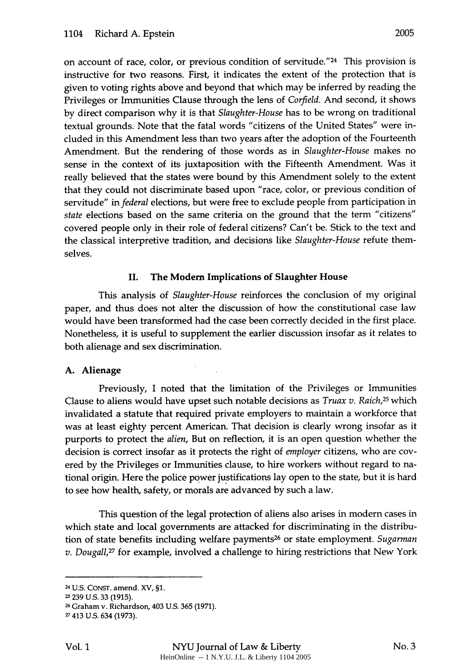on account of race, color, or previous condition of servitude."24 This provision is instructive for two reasons. First, it indicates the extent of the protection that is given to voting rights above and beyond that which may be inferred by reading the Privileges or Immunities Clause through the lens of *Corfield.* And second, it shows by direct comparison why it is that *Slaughter-House* has to be wrong on traditional textual grounds. Note that the fatal words "citizens of the United States" were included in this Amendment less than two years after the adoption of the Fourteenth Amendment. But the rendering of those words as in *Slaughter-House* makes no sense in the context of its juxtaposition with the Fifteenth Amendment. Was it really believed that the states were bound by this Amendment solely to the extent that they could not discriminate based upon "race, color, or previous condition of servitude" in *federal* elections, but were free to exclude people from participation in *state* elections based on the same criteria on the ground that the term "citizens" covered people only in their role of federal citizens? Can't be. Stick to the text and the classical interpretive tradition, and decisions like *Slaughter-House* refute themselves.

### II. The **Modem Implications of Slaughter House**

This analysis of *Slaughter-House* reinforces the conclusion of my original paper, and thus does not alter the discussion of how the constitutional case law would have been transformed had the case been correctly decided in the first place. Nonetheless, it is useful to supplement the earlier discussion insofar as it relates to both alienage and sex discrimination.

#### **A. Alienage**

Previously, I noted that the limitation of the Privileges or Immunities Clause to aliens would have upset such notable decisions as *Truax v. Raich,25* which invalidated a statute that required private employers to maintain a workforce that was at least eighty percent American. That decision is clearly wrong insofar as it purports to protect the *alien,* But on reflection, it is an open question whether the decision is correct insofar as it protects the right of *employer* citizens, who are covered **by** the Privileges or Immunities clause, to hire workers without regard to national origin. Here the police power justifications lay open to the state, but it is hard to see how health, safety, or morals are advanced **by** such a law.

This question of the legal protection of aliens also arises in modern cases in which state and local governments are attacked for discriminating in the distribution of state benefits including welfare payments 26 or state employment. *Sugarman v. Dougall,27* for example, involved a challenge to hiring restrictions that New York

<sup>24</sup> **U.S. CONST. amend.** *XV,* **§1.**

**<sup>-</sup> 239 U.S. 33 (1915).**

**<sup>26</sup> Graham v. Richardson,** 403 **U.S. 365 (1971).**

**<sup>27</sup>** 413 **U.S.** 634 **(1973).**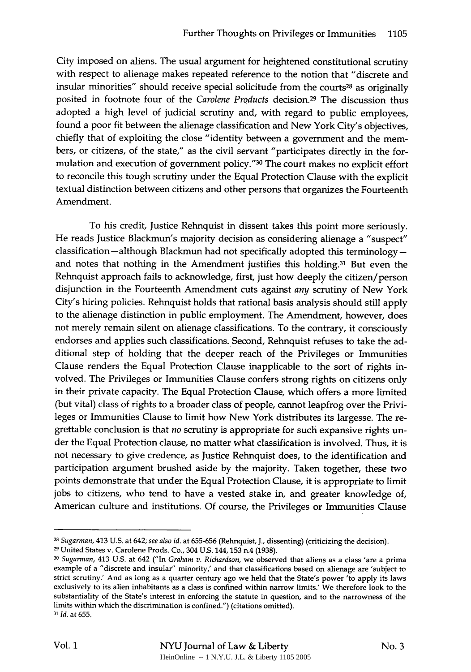City imposed on aliens. The usual argument for heightened constitutional scrutiny with respect to alienage makes repeated reference to the notion that "discrete and insular minorities" should receive special solicitude from the courts<sup>28</sup> as originally posited in footnote four of the *Carolene Products* decision.29 The discussion thus adopted a high level of judicial scrutiny and, with regard to public employees, found a poor fit between the alienage classification and New York City's objectives, chiefly that of exploiting the close "identity between a government and the members, or citizens, of the state," as the civil servant "participates directly in the formulation and execution of government policy." 30 The court makes no explicit effort to reconcile this tough scrutiny under the Equal Protection Clause with the explicit textual distinction between citizens and other persons that organizes the Fourteenth Amendment.

To his credit, Justice Rehnquist in dissent takes this point more seriously. He reads Justice Blackmun's majority decision as considering alienage a "suspect"  $classification - although Blackmun had not specifically adopted this terminology$ and notes that nothing in the Amendment justifies this holding.<sup>31</sup> But even the Rehnquist approach fails to acknowledge, first, just how deeply the citizen/person disjunction in the Fourteenth Amendment cuts against *any* scrutiny of New York City's hiring policies. Rehnquist holds that rational basis analysis should still apply to the alienage distinction in public employment. The Amendment, however, does not merely remain silent on alienage classifications. To the contrary, it consciously endorses and applies such classifications. Second, Rehnquist refuses to take the additional step of holding that the deeper reach of the Privileges or Immunities Clause renders the Equal Protection Clause inapplicable to the sort of rights involved. The Privileges or Immunities Clause confers strong rights on citizens only in their private capacity. The Equal Protection Clause, which offers a more limited (but vital) class of rights to a broader class of people, cannot leapfrog over the Privileges or Immunities Clause to limit how New York distributes its largesse. The regrettable conclusion is that *no* scrutiny is appropriate for such expansive rights under the Equal Protection clause, no matter what classification is involved. Thus, it is not necessary to give credence, as Justice Rehnquist does, to the identification and participation argument brushed aside by the majority. Taken together, these two points demonstrate that under the Equal Protection Clause, it is appropriate to limit jobs to citizens, who tend to have a vested stake in, and greater knowledge of, American culture and institutions. Of course, the Privileges or Immunities Clause

**<sup>28</sup>** *Sugarman,* 413 U.S. at 642; *see also id.* at 655-656 (Rehnquist, **J.,** dissenting) (criticizing the decision).

**<sup>29</sup>**United States v. Carolene Prods. Co., 304 U.S. 144,153 n.4 (1938).

**<sup>30</sup>***Sugarman,* 413 U.S. at 642 ("In *Graham v. Richardson,* we observed that aliens as a class 'are a prima example of a "discrete and insular" minority,' and that classifications based on alienage are 'subject to strict scrutiny.' And as long as a quarter century ago we held that the State's power 'to apply its laws exclusively to its alien inhabitants as a class is confined within narrow limits.' We therefore look to the substantiality of the State's interest in enforcing the statute in question, and to the narrowness of the limits within which the discrimination is confined.") (citations omitted). *31 Id.* at 655.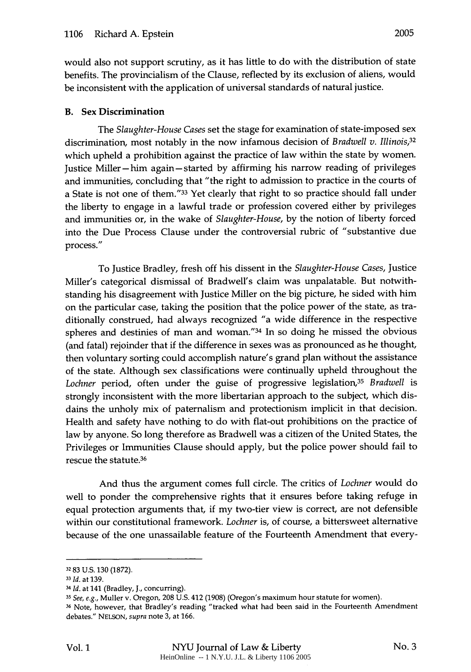would also not support scrutiny, as it has little to do with the distribution of state benefits. The provincialism of the Clause, reflected by its exclusion of aliens, would be inconsistent with the application of universal standards of natural justice.

## B. **Sex Discrimination**

The *Slaughter-House Cases* set the stage for examination of state-imposed sex discrimination, most notably in the now infamous decision of *Bradwell v. Illinois,32* which upheld a prohibition against the practice of law within the state by women. Justice Miller **-** him again **-** started by affirming his narrow reading of privileges and immunities, concluding that "the right to admission to practice in the courts of a State is not one of them."33 Yet clearly that right to so practice should fall under the liberty to engage in a lawful trade or profession covered either by privileges and immunities or, in the wake of *Slaughter-House,* by the notion of liberty forced into the Due Process Clause under the controversial rubric of "substantive due process."

To Justice Bradley, fresh off his dissent in the *Slaughter-House Cases,* Justice Miller's categorical dismissal of Bradwell's claim was unpalatable. But notwithstanding his disagreement with Justice Miller on the big picture, he sided with him on the particular case, taking the position that the police power of the state, as traditionally construed, had always recognized "a wide difference in the respective spheres and destinies of man and woman."34 In so doing he missed the obvious (and fatal) rejoinder that if the difference in sexes was as pronounced as he thought, then voluntary sorting could accomplish nature's grand plan without the assistance of the state. Although sex classifications were continually upheld throughout the *Lochner* period, often under the guise of progressive legislation,<sup>35</sup>*Bradwell* is strongly inconsistent with the more libertarian approach to the subject, which disdains the unholy mix of paternalism and protectionism implicit in that decision. Health and safety have nothing to do with flat-out prohibitions on the practice of law by anyone. So long therefore as Bradwell was a citizen of the United States, the Privileges or Immunities Clause should apply, but the police power should fail to rescue the statute.36

And thus the argument comes full circle. The critics of *Lochner* would do well to ponder the comprehensive rights that it ensures before taking refuge in equal protection arguments that, if my two-tier view is correct, are not defensible within our constitutional framework. *Lochner* is, of course, a bittersweet alternative because of the one unassailable feature of the Fourteenth Amendment that every-

**<sup>32</sup>** 83 U.S. 130 (1872).

**<sup>33</sup>** *Id.* at 139.

*<sup>34</sup> Id.* at 141 (Bradley, **J.,** concurring).

*<sup>35</sup> See, e.g.,* Muller v. Oregon, 208 U.S. 412 (1908) (Oregon's maximum hour statute for women).

**<sup>36</sup>** Note, however, that Bradley's reading "tracked what had been said in the Fourteenth Amendment debates." NELSON, *supra* note 3, at 166.